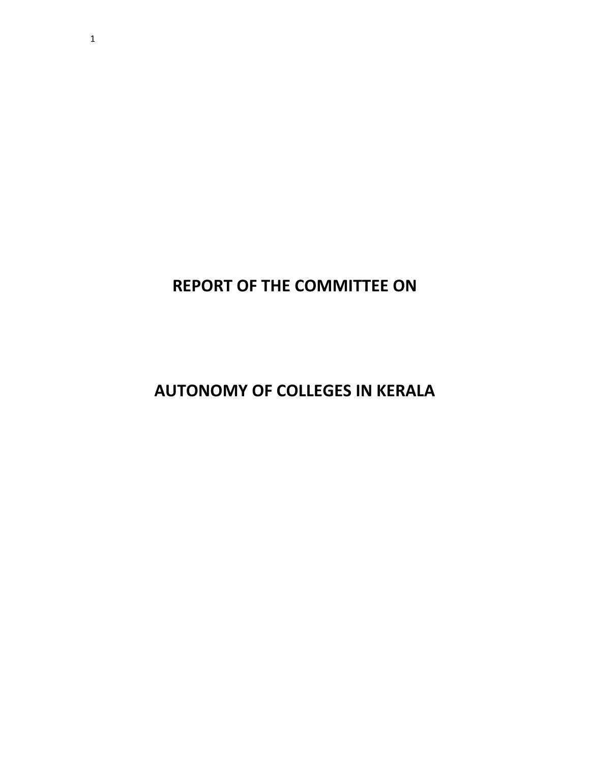# **REPORT OF THE COMMITTEE ON**

**AUTONOMY OF COLLEGES IN KERALA**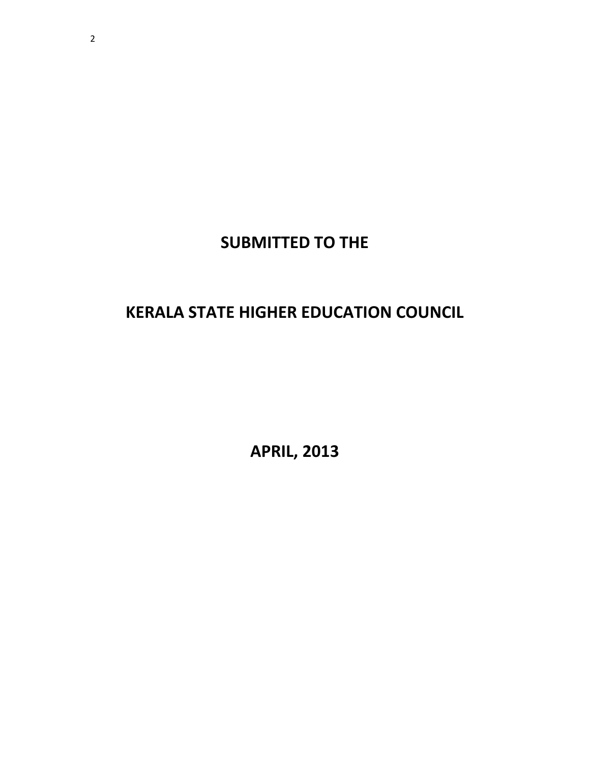# **SUBMITTED TO THE**

# **KERALA STATE HIGHER EDUCATION COUNCIL**

**APRIL, 2013**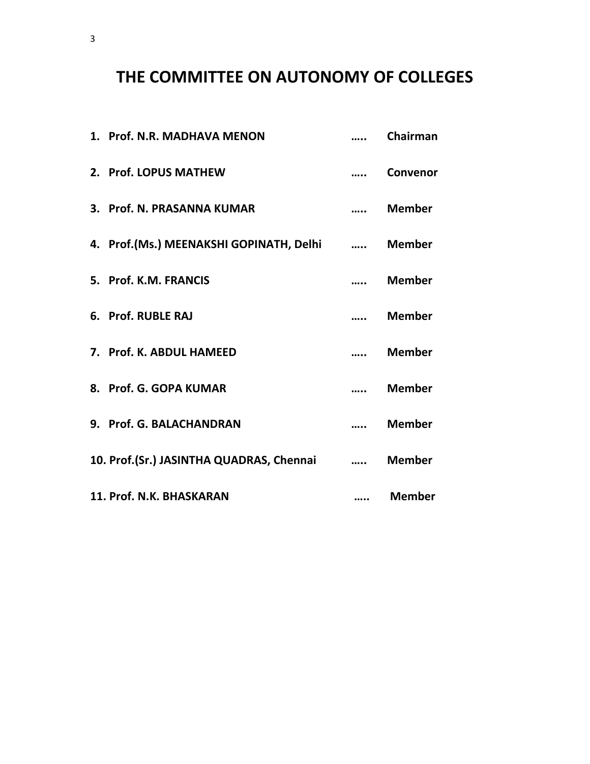# **THE COMMITTEE ON AUTONOMY OF COLLEGES**

| 1. Prof. N.R. MADHAVA MENON              | Chairman      |
|------------------------------------------|---------------|
| 2. Prof. LOPUS MATHEW                    | Convenor      |
| 3. Prof. N. PRASANNA KUMAR               | <b>Member</b> |
| 4. Prof.(Ms.) MEENAKSHI GOPINATH, Delhi  | <b>Member</b> |
| 5. Prof. K.M. FRANCIS                    | <b>Member</b> |
| 6. Prof. RUBLE RAJ                       | <b>Member</b> |
| 7. Prof. K. ABDUL HAMEED                 | <b>Member</b> |
| 8. Prof. G. GOPA KUMAR                   | <b>Member</b> |
| 9. Prof. G. BALACHANDRAN                 | <b>Member</b> |
| 10. Prof.(Sr.) JASINTHA QUADRAS, Chennai | <b>Member</b> |
| 11. Prof. N.K. BHASKARAN                 | <b>Member</b> |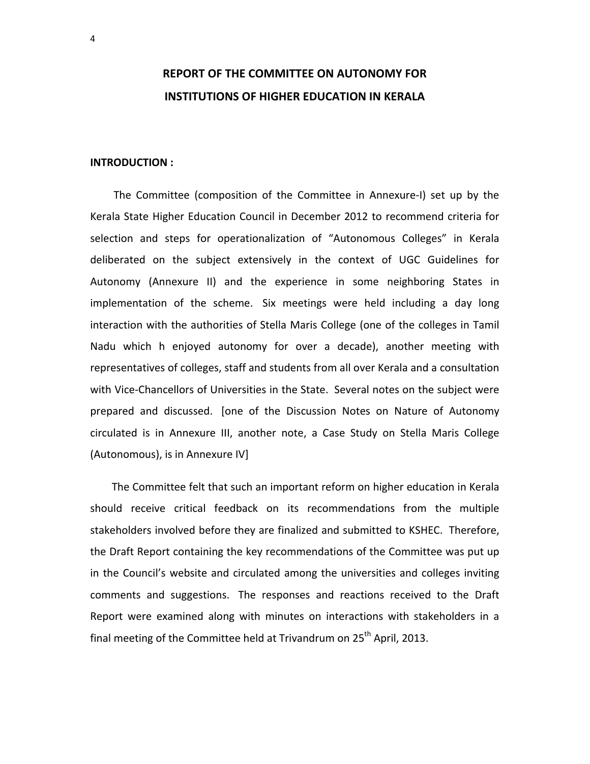# **REPORT OF THE COMMITTEE ON AUTONOMY FOR INSTITUTIONS OF HIGHER EDUCATION IN KERALA**

#### **INTRODUCTION :**

 The Committee (composition of the Committee in Annexure‐I) set up by the Kerala State Higher Education Council in December 2012 to recommend criteria for selection and steps for operationalization of "Autonomous Colleges" in Kerala deliberated on the subject extensively in the context of UGC Guidelines for Autonomy (Annexure II) and the experience in some neighboring States in implementation of the scheme. Six meetings were held including a day long interaction with the authorities of Stella Maris College (one of the colleges in Tamil Nadu which h enjoyed autonomy for over a decade), another meeting with representatives of colleges, staff and students from all over Kerala and a consultation with Vice‐Chancellors of Universities in the State. Several notes on the subject were prepared and discussed. [one of the Discussion Notes on Nature of Autonomy circulated is in Annexure III, another note, a Case Study on Stella Maris College (Autonomous), is in Annexure IV]

 The Committee felt that such an important reform on higher education in Kerala should receive critical feedback on its recommendations from the multiple stakeholders involved before they are finalized and submitted to KSHEC. Therefore, the Draft Report containing the key recommendations of the Committee was put up in the Council's website and circulated among the universities and colleges inviting comments and suggestions. The responses and reactions received to the Draft Report were examined along with minutes on interactions with stakeholders in a final meeting of the Committee held at Trivandrum on  $25<sup>th</sup>$  April, 2013.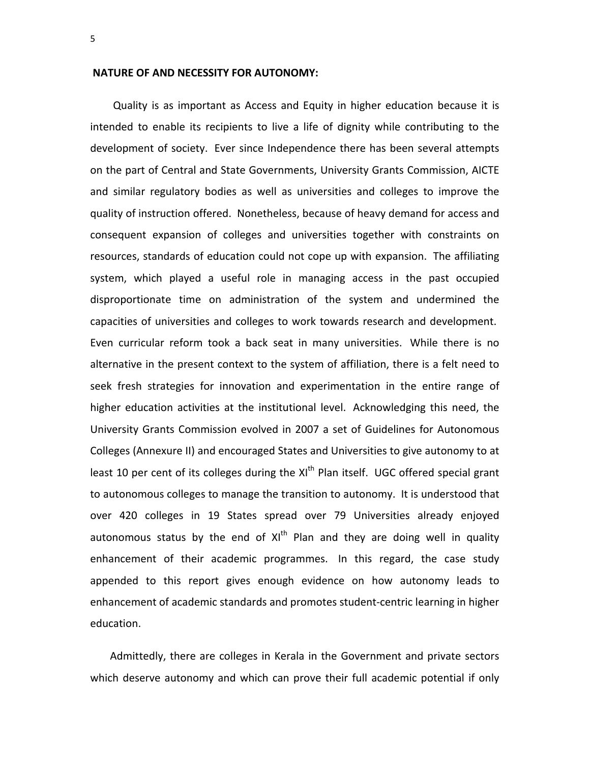#### **NATURE OF AND NECESSITY FOR AUTONOMY:**

 Quality is as important as Access and Equity in higher education because it is intended to enable its recipients to live a life of dignity while contributing to the development of society. Ever since Independence there has been several attempts on the part of Central and State Governments, University Grants Commission, AICTE and similar regulatory bodies as well as universities and colleges to improve the quality of instruction offered. Nonetheless, because of heavy demand for access and consequent expansion of colleges and universities together with constraints on resources, standards of education could not cope up with expansion. The affiliating system, which played a useful role in managing access in the past occupied disproportionate time on administration of the system and undermined the capacities of universities and colleges to work towards research and development. Even curricular reform took a back seat in many universities. While there is no alternative in the present context to the system of affiliation, there is a felt need to seek fresh strategies for innovation and experimentation in the entire range of higher education activities at the institutional level. Acknowledging this need, the University Grants Commission evolved in 2007 a set of Guidelines for Autonomous Colleges (Annexure II) and encouraged States and Universities to give autonomy to at least 10 per cent of its colleges during the  $XI<sup>th</sup>$  Plan itself. UGC offered special grant to autonomous colleges to manage the transition to autonomy. It is understood that over 420 colleges in 19 States spread over 79 Universities already enjoyed autonomous status by the end of  $XI<sup>th</sup>$  Plan and they are doing well in quality enhancement of their academic programmes. In this regard, the case study appended to this report gives enough evidence on how autonomy leads to enhancement of academic standards and promotes student‐centric learning in higher education.

 Admittedly, there are colleges in Kerala in the Government and private sectors which deserve autonomy and which can prove their full academic potential if only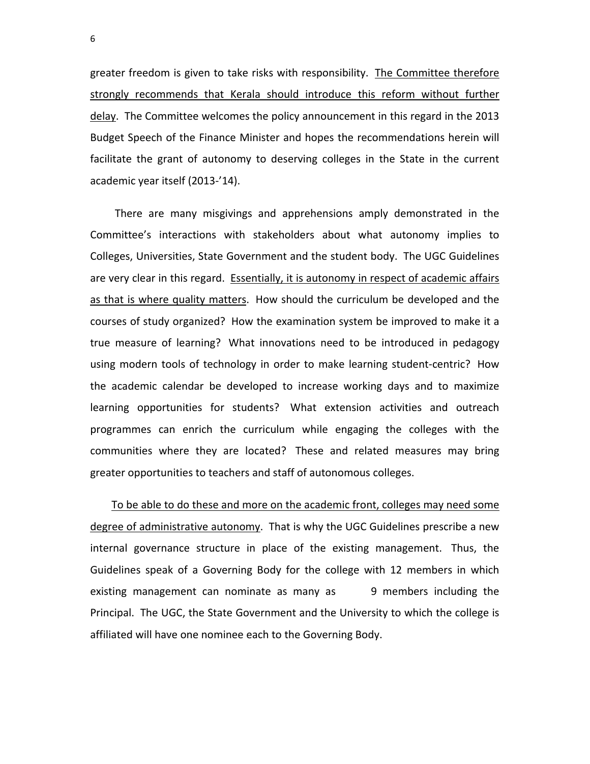greater freedom is given to take risks with responsibility. The Committee therefore strongly recommends that Kerala should introduce this reform without further delay. The Committee welcomes the policy announcement in this regard in the 2013 Budget Speech of the Finance Minister and hopes the recommendations herein will facilitate the grant of autonomy to deserving colleges in the State in the current academic year itself (2013‐'14).

 There are many misgivings and apprehensions amply demonstrated in the Committee's interactions with stakeholders about what autonomy implies to Colleges, Universities, State Government and the student body. The UGC Guidelines are very clear in this regard. Essentially, it is autonomy in respect of academic affairs as that is where quality matters. How should the curriculum be developed and the courses of study organized? How the examination system be improved to make it a true measure of learning? What innovations need to be introduced in pedagogy using modern tools of technology in order to make learning student‐centric? How the academic calendar be developed to increase working days and to maximize learning opportunities for students? What extension activities and outreach programmes can enrich the curriculum while engaging the colleges with the communities where they are located? These and related measures may bring greater opportunities to teachers and staff of autonomous colleges.

 To be able to do these and more on the academic front, colleges may need some degree of administrative autonomy. That is why the UGC Guidelines prescribe a new internal governance structure in place of the existing management. Thus, the Guidelines speak of a Governing Body for the college with 12 members in which existing management can nominate as many as 9 members including the Principal. The UGC, the State Government and the University to which the college is affiliated will have one nominee each to the Governing Body.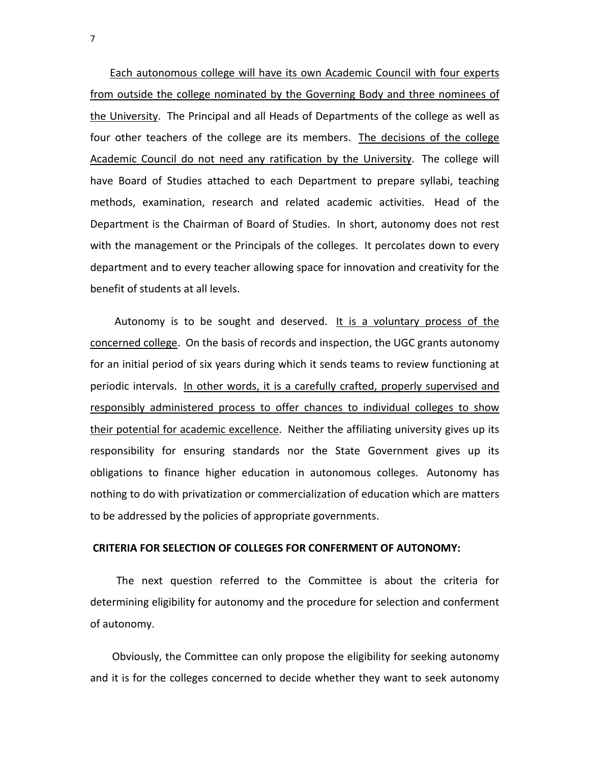Each autonomous college will have its own Academic Council with four experts from outside the college nominated by the Governing Body and three nominees of the University. The Principal and all Heads of Departments of the college as well as four other teachers of the college are its members. The decisions of the college Academic Council do not need any ratification by the University. The college will have Board of Studies attached to each Department to prepare syllabi, teaching methods, examination, research and related academic activities. Head of the Department is the Chairman of Board of Studies. In short, autonomy does not rest with the management or the Principals of the colleges. It percolates down to every department and to every teacher allowing space for innovation and creativity for the benefit of students at all levels.

 Autonomy is to be sought and deserved. It is a voluntary process of the concerned college. On the basis of records and inspection, the UGC grants autonomy for an initial period of six years during which it sends teams to review functioning at periodic intervals. In other words, it is a carefully crafted, properly supervised and responsibly administered process to offer chances to individual colleges to show their potential for academic excellence. Neither the affiliating university gives up its responsibility for ensuring standards nor the State Government gives up its obligations to finance higher education in autonomous colleges. Autonomy has nothing to do with privatization or commercialization of education which are matters to be addressed by the policies of appropriate governments.

### **CRITERIA FOR SELECTION OF COLLEGES FOR CONFERMENT OF AUTONOMY:**

 The next question referred to the Committee is about the criteria for determining eligibility for autonomy and the procedure for selection and conferment of autonomy.

 Obviously, the Committee can only propose the eligibility for seeking autonomy and it is for the colleges concerned to decide whether they want to seek autonomy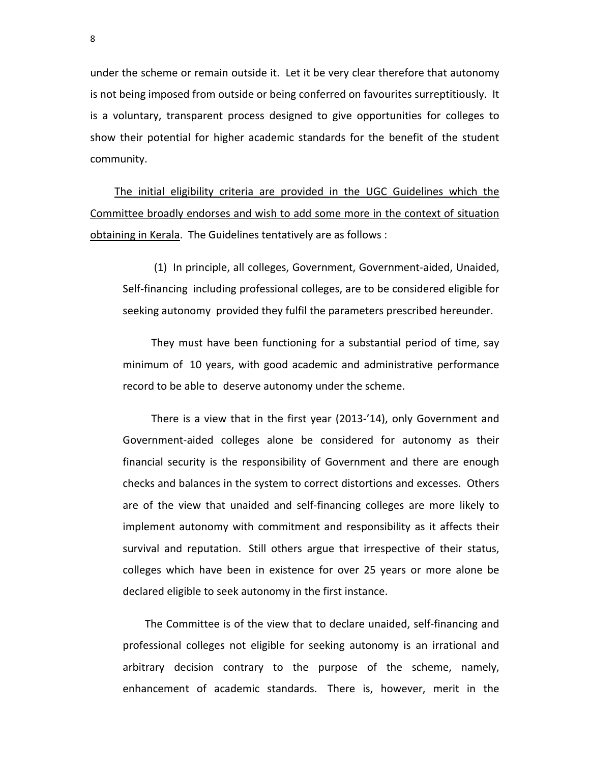under the scheme or remain outside it. Let it be very clear therefore that autonomy is not being imposed from outside or being conferred on favourites surreptitiously. It is a voluntary, transparent process designed to give opportunities for colleges to show their potential for higher academic standards for the benefit of the student community.

 The initial eligibility criteria are provided in the UGC Guidelines which the Committee broadly endorses and wish to add some more in the context of situation obtaining in Kerala. The Guidelines tentatively are as follows :

(1) In principle, all colleges, Government, Government‐aided, Unaided, Self-financing including professional colleges, are to be considered eligible for seeking autonomy provided they fulfil the parameters prescribed hereunder.

They must have been functioning for a substantial period of time, say minimum of 10 years, with good academic and administrative performance record to be able to deserve autonomy under the scheme.

 There is a view that in the first year (2013‐'14), only Government and Government‐aided colleges alone be considered for autonomy as their financial security is the responsibility of Government and there are enough checks and balances in the system to correct distortions and excesses. Others are of the view that unaided and self‐financing colleges are more likely to implement autonomy with commitment and responsibility as it affects their survival and reputation. Still others argue that irrespective of their status, colleges which have been in existence for over 25 years or more alone be declared eligible to seek autonomy in the first instance.

 The Committee is of the view that to declare unaided, self‐financing and professional colleges not eligible for seeking autonomy is an irrational and arbitrary decision contrary to the purpose of the scheme, namely, enhancement of academic standards. There is, however, merit in the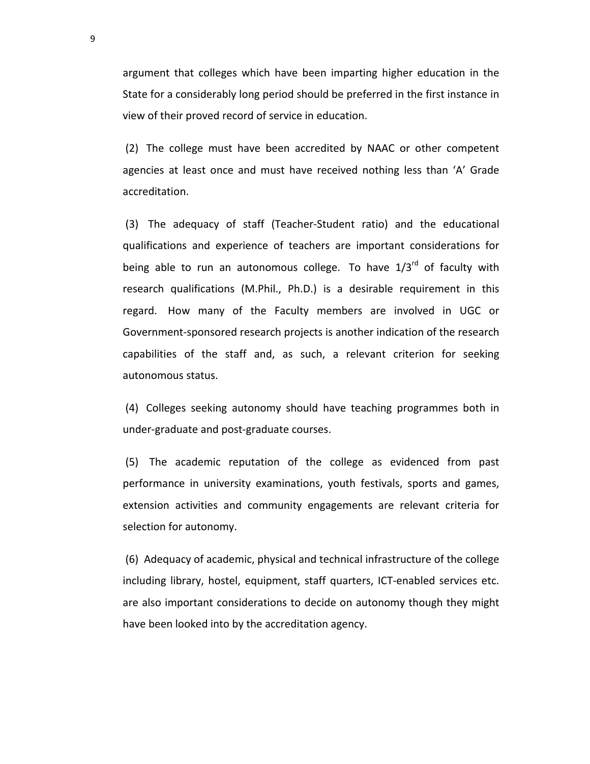argument that colleges which have been imparting higher education in the State for a considerably long period should be preferred in the first instance in view of their proved record of service in education.

(2) The college must have been accredited by NAAC or other competent agencies at least once and must have received nothing less than 'A' Grade accreditation.

(3) The adequacy of staff (Teacher‐Student ratio) and the educational qualifications and experience of teachers are important considerations for being able to run an autonomous college. To have  $1/3^{rd}$  of faculty with research qualifications (M.Phil., Ph.D.) is a desirable requirement in this regard. How many of the Faculty members are involved in UGC or Government‐sponsored research projects is another indication of the research capabilities of the staff and, as such, a relevant criterion for seeking autonomous status.

(4) Colleges seeking autonomy should have teaching programmes both in under‐graduate and post‐graduate courses.

(5) The academic reputation of the college as evidenced from past performance in university examinations, youth festivals, sports and games, extension activities and community engagements are relevant criteria for selection for autonomy.

(6) Adequacy of academic, physical and technical infrastructure of the college including library, hostel, equipment, staff quarters, ICT‐enabled services etc. are also important considerations to decide on autonomy though they might have been looked into by the accreditation agency.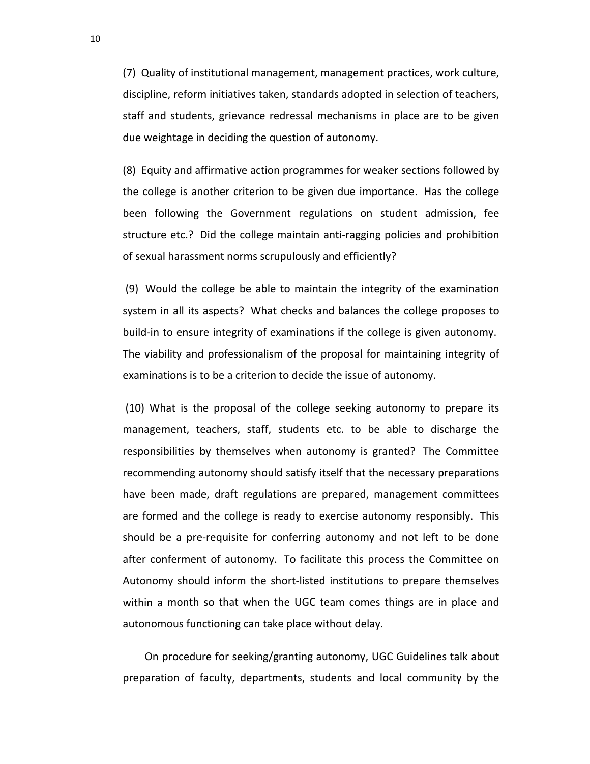(7) Quality of institutional management, management practices, work culture, discipline, reform initiatives taken, standards adopted in selection of teachers, staff and students, grievance redressal mechanisms in place are to be given due weightage in deciding the question of autonomy.

(8) Equity and affirmative action programmes for weaker sections followed by the college is another criterion to be given due importance. Has the college been following the Government regulations on student admission, fee structure etc.? Did the college maintain anti-ragging policies and prohibition of sexual harassment norms scrupulously and efficiently?

(9) Would the college be able to maintain the integrity of the examination system in all its aspects? What checks and balances the college proposes to build‐in to ensure integrity of examinations if the college is given autonomy. The viability and professionalism of the proposal for maintaining integrity of examinations is to be a criterion to decide the issue of autonomy.

(10) What is the proposal of the college seeking autonomy to prepare its management, teachers, staff, students etc. to be able to discharge the responsibilities by themselves when autonomy is granted? The Committee recommending autonomy should satisfy itself that the necessary preparations have been made, draft regulations are prepared, management committees are formed and the college is ready to exercise autonomy responsibly. This should be a pre‐requisite for conferring autonomy and not left to be done after conferment of autonomy. To facilitate this process the Committee on Autonomy should inform the short‐listed institutions to prepare themselves within a month so that when the UGC team comes things are in place and autonomous functioning can take place without delay.

 On procedure for seeking/granting autonomy, UGC Guidelines talk about preparation of faculty, departments, students and local community by the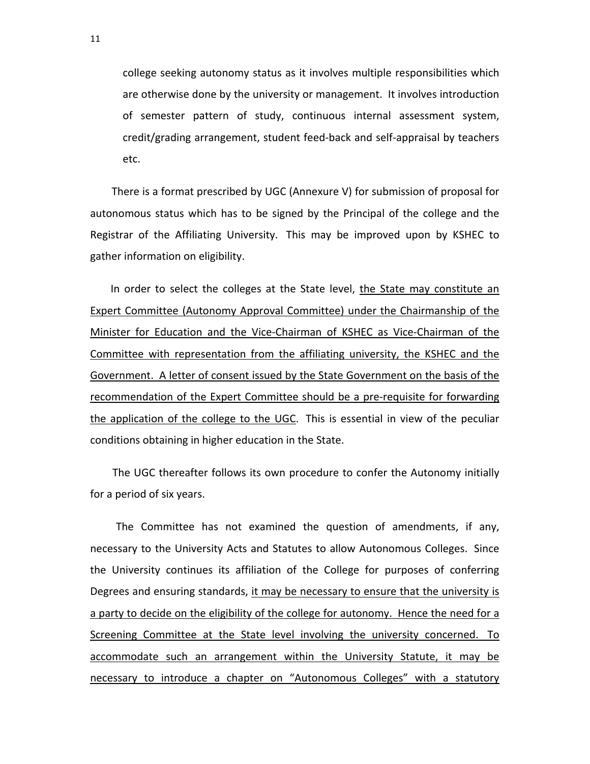college seeking autonomy status as it involves multiple responsibilities which are otherwise done by the university or management. It involves introduction of semester pattern of study, continuous internal assessment system, credit/grading arrangement, student feed‐back and self‐appraisal by teachers etc.

 There is a format prescribed by UGC (Annexure V) for submission of proposal for autonomous status which has to be signed by the Principal of the college and the Registrar of the Affiliating University. This may be improved upon by KSHEC to gather information on eligibility.

 In order to select the colleges at the State level, the State may constitute an Expert Committee (Autonomy Approval Committee) under the Chairmanship of the Minister for Education and the Vice‐Chairman of KSHEC as Vice‐Chairman of the Committee with representation from the affiliating university, the KSHEC and the Government. A letter of consent issued by the State Government on the basis of the recommendation of the Expert Committee should be a pre‐requisite for forwarding the application of the college to the UGC. This is essential in view of the peculiar conditions obtaining in higher education in the State.

 The UGC thereafter follows its own procedure to confer the Autonomy initially for a period of six years.

 The Committee has not examined the question of amendments, if any, necessary to the University Acts and Statutes to allow Autonomous Colleges. Since the University continues its affiliation of the College for purposes of conferring Degrees and ensuring standards, it may be necessary to ensure that the university is a party to decide on the eligibility of the college for autonomy. Hence the need for a Screening Committee at the State level involving the university concerned. To accommodate such an arrangement within the University Statute, it may be necessary to introduce a chapter on "Autonomous Colleges" with a statutory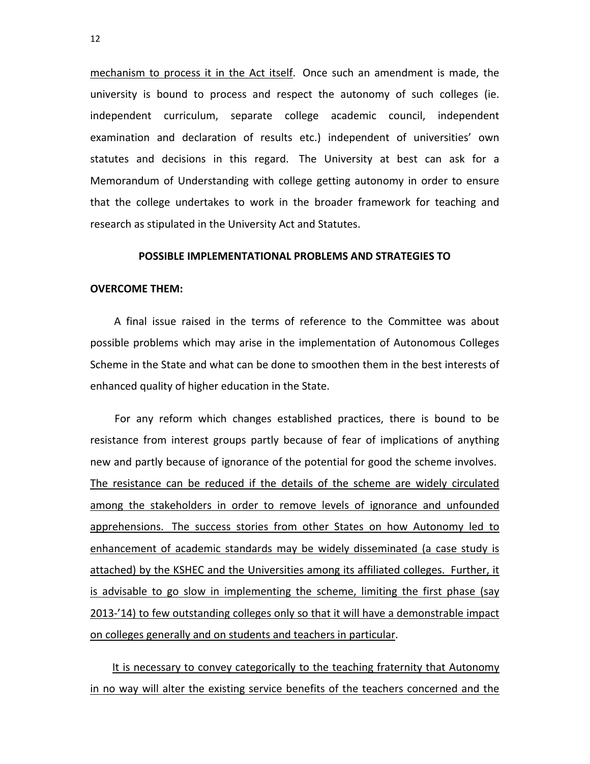mechanism to process it in the Act itself. Once such an amendment is made, the university is bound to process and respect the autonomy of such colleges (ie. independent curriculum, separate college academic council, independent examination and declaration of results etc.) independent of universities' own statutes and decisions in this regard. The University at best can ask for a Memorandum of Understanding with college getting autonomy in order to ensure that the college undertakes to work in the broader framework for teaching and research as stipulated in the University Act and Statutes.

### **POSSIBLE IMPLEMENTATIONAL PROBLEMS AND STRATEGIES TO**

### **OVERCOME THEM:**

 A final issue raised in the terms of reference to the Committee was about possible problems which may arise in the implementation of Autonomous Colleges Scheme in the State and what can be done to smoothen them in the best interests of enhanced quality of higher education in the State.

 For any reform which changes established practices, there is bound to be resistance from interest groups partly because of fear of implications of anything new and partly because of ignorance of the potential for good the scheme involves. The resistance can be reduced if the details of the scheme are widely circulated among the stakeholders in order to remove levels of ignorance and unfounded apprehensions. The success stories from other States on how Autonomy led to enhancement of academic standards may be widely disseminated (a case study is attached) by the KSHEC and the Universities among its affiliated colleges. Further, it is advisable to go slow in implementing the scheme, limiting the first phase (say 2013‐'14) to few outstanding colleges only so that it will have a demonstrable impact on colleges generally and on students and teachers in particular.

 It is necessary to convey categorically to the teaching fraternity that Autonomy in no way will alter the existing service benefits of the teachers concerned and the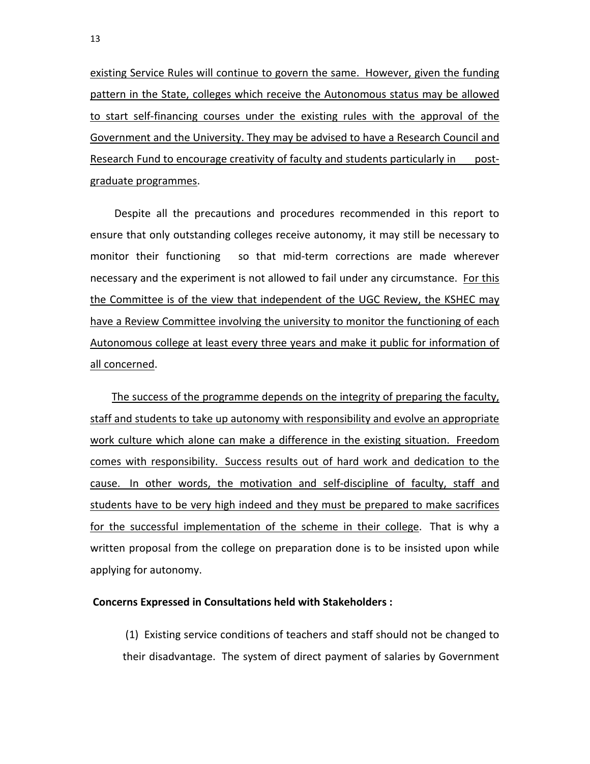existing Service Rules will continue to govern the same. However, given the funding pattern in the State, colleges which receive the Autonomous status may be allowed to start self‐financing courses under the existing rules with the approval of the Government and the University. They may be advised to have a Research Council and Research Fund to encourage creativity of faculty and students particularly in postgraduate programmes.

 Despite all the precautions and procedures recommended in this report to ensure that only outstanding colleges receive autonomy, it may still be necessary to monitor their functioning so that mid-term corrections are made wherever necessary and the experiment is not allowed to fail under any circumstance. For this the Committee is of the view that independent of the UGC Review, the KSHEC may have a Review Committee involving the university to monitor the functioning of each Autonomous college at least every three years and make it public for information of all concerned.

 The success of the programme depends on the integrity of preparing the faculty, staff and students to take up autonomy with responsibility and evolve an appropriate work culture which alone can make a difference in the existing situation. Freedom comes with responsibility. Success results out of hard work and dedication to the cause. In other words, the motivation and self‐discipline of faculty, staff and students have to be very high indeed and they must be prepared to make sacrifices for the successful implementation of the scheme in their college. That is why a written proposal from the college on preparation done is to be insisted upon while applying for autonomy.

### **Concerns Expressed in Consultations held with Stakeholders :**

(1) Existing service conditions of teachers and staff should not be changed to their disadvantage. The system of direct payment of salaries by Government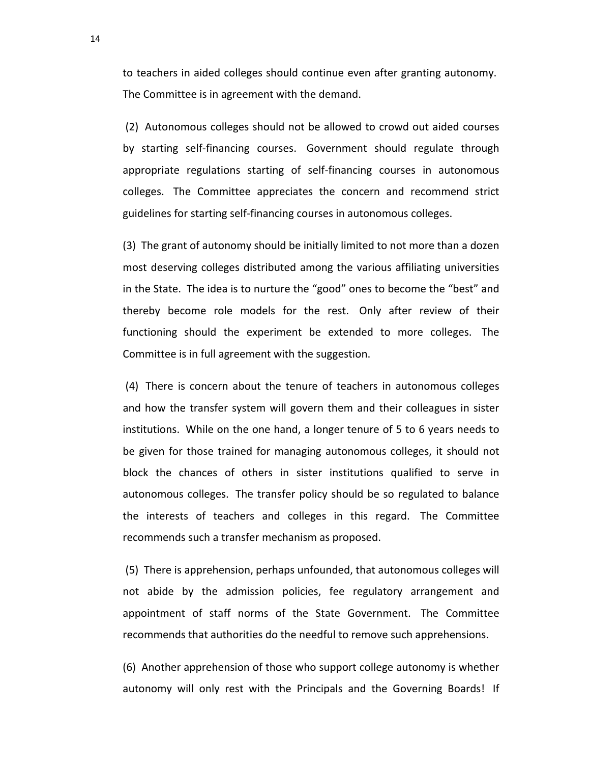to teachers in aided colleges should continue even after granting autonomy. The Committee is in agreement with the demand.

(2) Autonomous colleges should not be allowed to crowd out aided courses by starting self-financing courses. Government should regulate through appropriate regulations starting of self-financing courses in autonomous colleges. The Committee appreciates the concern and recommend strict guidelines for starting self‐financing courses in autonomous colleges.

(3) The grant of autonomy should be initially limited to not more than a dozen most deserving colleges distributed among the various affiliating universities in the State. The idea is to nurture the "good" ones to become the "best" and thereby become role models for the rest. Only after review of their functioning should the experiment be extended to more colleges. The Committee is in full agreement with the suggestion.

(4) There is concern about the tenure of teachers in autonomous colleges and how the transfer system will govern them and their colleagues in sister institutions. While on the one hand, a longer tenure of 5 to 6 years needs to be given for those trained for managing autonomous colleges, it should not block the chances of others in sister institutions qualified to serve in autonomous colleges. The transfer policy should be so regulated to balance the interests of teachers and colleges in this regard. The Committee recommends such a transfer mechanism as proposed.

(5) There is apprehension, perhaps unfounded, that autonomous colleges will not abide by the admission policies, fee regulatory arrangement and appointment of staff norms of the State Government. The Committee recommends that authorities do the needful to remove such apprehensions.

(6) Another apprehension of those who support college autonomy is whether autonomy will only rest with the Principals and the Governing Boards! If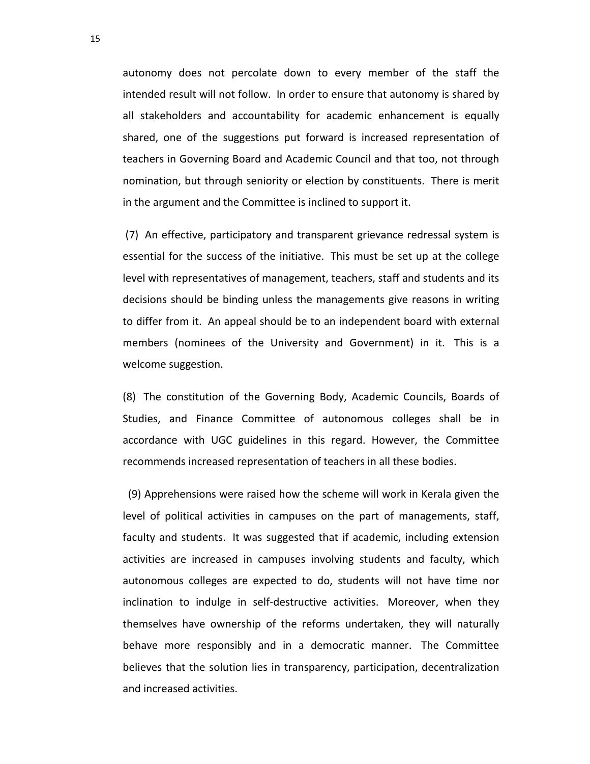autonomy does not percolate down to every member of the staff the intended result will not follow. In order to ensure that autonomy is shared by all stakeholders and accountability for academic enhancement is equally shared, one of the suggestions put forward is increased representation of teachers in Governing Board and Academic Council and that too, not through nomination, but through seniority or election by constituents. There is merit in the argument and the Committee is inclined to support it.

(7) An effective, participatory and transparent grievance redressal system is essential for the success of the initiative. This must be set up at the college level with representatives of management, teachers, staff and students and its decisions should be binding unless the managements give reasons in writing to differ from it. An appeal should be to an independent board with external members (nominees of the University and Government) in it. This is a welcome suggestion.

(8) The constitution of the Governing Body, Academic Councils, Boards of Studies, and Finance Committee of autonomous colleges shall be in accordance with UGC guidelines in this regard. However, the Committee recommends increased representation of teachers in all these bodies.

 (9) Apprehensions were raised how the scheme will work in Kerala given the level of political activities in campuses on the part of managements, staff, faculty and students. It was suggested that if academic, including extension activities are increased in campuses involving students and faculty, which autonomous colleges are expected to do, students will not have time nor inclination to indulge in self‐destructive activities. Moreover, when they themselves have ownership of the reforms undertaken, they will naturally behave more responsibly and in a democratic manner. The Committee believes that the solution lies in transparency, participation, decentralization and increased activities.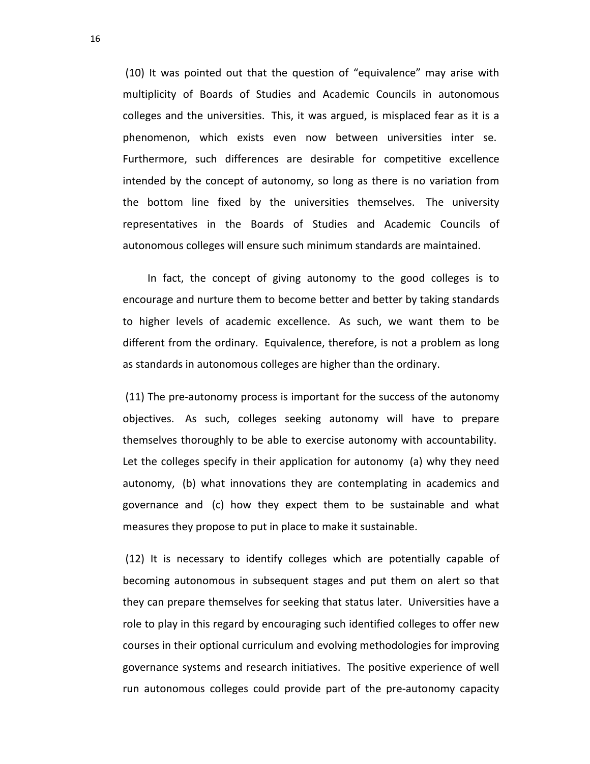(10) It was pointed out that the question of "equivalence" may arise with multiplicity of Boards of Studies and Academic Councils in autonomous colleges and the universities. This, it was argued, is misplaced fear as it is a phenomenon, which exists even now between universities inter se. Furthermore, such differences are desirable for competitive excellence intended by the concept of autonomy, so long as there is no variation from the bottom line fixed by the universities themselves. The university representatives in the Boards of Studies and Academic Councils of autonomous colleges will ensure such minimum standards are maintained.

 In fact, the concept of giving autonomy to the good colleges is to encourage and nurture them to become better and better by taking standards to higher levels of academic excellence. As such, we want them to be different from the ordinary. Equivalence, therefore, is not a problem as long as standards in autonomous colleges are higher than the ordinary.

(11) The pre‐autonomy process is important for the success of the autonomy objectives. As such, colleges seeking autonomy will have to prepare themselves thoroughly to be able to exercise autonomy with accountability. Let the colleges specify in their application for autonomy (a) why they need autonomy, (b) what innovations they are contemplating in academics and governance and (c) how they expect them to be sustainable and what measures they propose to put in place to make it sustainable.

(12) It is necessary to identify colleges which are potentially capable of becoming autonomous in subsequent stages and put them on alert so that they can prepare themselves for seeking that status later. Universities have a role to play in this regard by encouraging such identified colleges to offer new courses in their optional curriculum and evolving methodologies for improving governance systems and research initiatives. The positive experience of well run autonomous colleges could provide part of the pre-autonomy capacity

16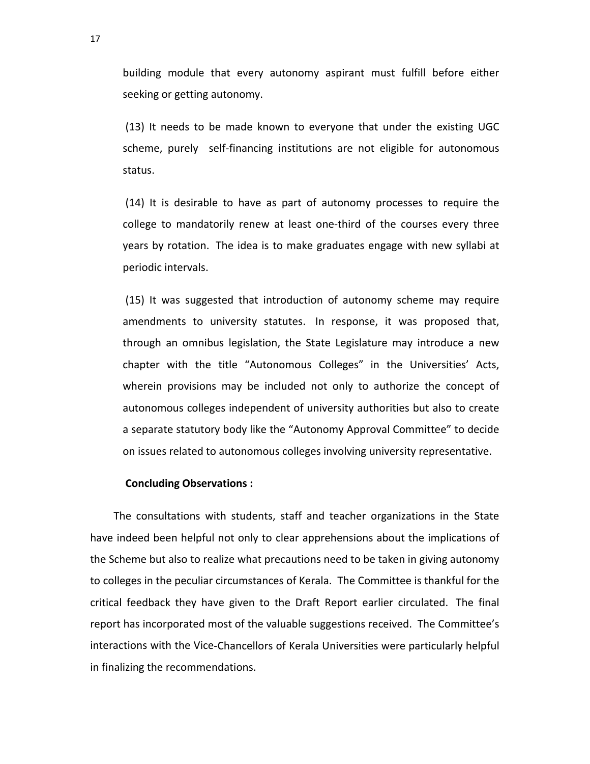building module that every autonomy aspirant must fulfill before either seeking or getting autonomy.

(13) It needs to be made known to everyone that under the existing UGC scheme, purely self-financing institutions are not eligible for autonomous status.

(14) It is desirable to have as part of autonomy processes to require the college to mandatorily renew at least one‐third of the courses every three years by rotation. The idea is to make graduates engage with new syllabi at periodic intervals.

(15) It was suggested that introduction of autonomy scheme may require amendments to university statutes. In response, it was proposed that, through an omnibus legislation, the State Legislature may introduce a new chapter with the title "Autonomous Colleges" in the Universities' Acts, wherein provisions may be included not only to authorize the concept of autonomous colleges independent of university authorities but also to create a separate statutory body like the "Autonomy Approval Committee" to decide on issues related to autonomous colleges involving university representative.

## **Concluding Observations :**

 The consultations with students, staff and teacher organizations in the State have indeed been helpful not only to clear apprehensions about the implications of the Scheme but also to realize what precautions need to be taken in giving autonomy to colleges in the peculiar circumstances of Kerala. The Committee is thankful for the critical feedback they have given to the Draft Report earlier circulated. The final report has incorporated most of the valuable suggestions received. The Committee's interactions with the Vice‐Chancellors of Kerala Universities were particularly helpful in finalizing the recommendations.